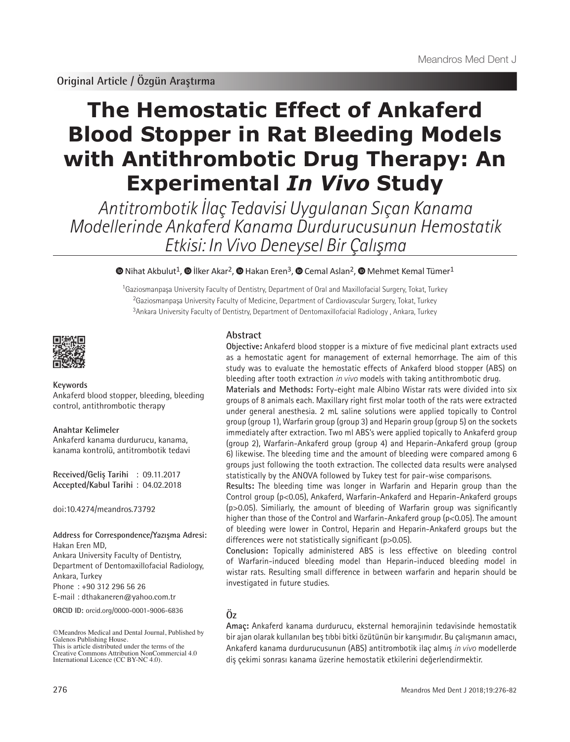# **The Hemostatic Effect of Ankaferd Blood Stopper in Rat Bleeding Models with Antithrombotic Drug Therapy: An Experimental** *In Vivo* **Study**

Antitrombotik İlaç Tedavisi Uygulanan Sıçan Kanama Modellerinde Ankaferd Kanama Durdurucusunun Hemostatik Etkisi: In Vivo Deneysel Bir Çalışma

## $\bullet$ Nihat Akbulut<sup>1</sup>,  $\bullet$  İlker Akar<sup>2</sup>,  $\bullet$  Hakan Eren<sup>3</sup>,  $\bullet$  Cemal Aslan<sup>2</sup>,  $\bullet$  Mehmet Kemal Tümer<sup>1</sup>

<sup>1</sup>Gaziosmanpaşa University Faculty of Dentistry, Department of Oral and Maxillofacial Surgery, Tokat, Turkey <sup>2</sup>Gaziosmanpaşa University Faculty of Medicine, Department of Cardiovascular Surgery, Tokat, Turkey <sup>3</sup>Ankara University Faculty of Dentistry, Department of Dentomaxillofacial Radiology, Ankara, Turkey



#### **Keywords**

Ankaferd blood stopper, bleeding, bleeding control, antithrombotic therapy

#### **Anahtar Kelimeler**

Ankaferd kanama durdurucu, kanama, kanama kontrolü, antitrombotik tedavi

**Received/Geliş Tarihi** : 09.11.2017 **Accepted/Kabul Tarihi** : 04.02.2018

doi:10.4274/meandros.73792

**Address for Correspondence/Yazışma Adresi:** Hakan Eren MD,

Ankara University Faculty of Dentistry, Department of Dentomaxillofacial Radiology, Ankara, Turkey

Phone : +90 312 296 56 26

E-mail : dthakaneren@yahoo.com.tr

**ORCID ID:** orcid.org/0000-0001-9006-6836

## **Abstract**

**Objective:** Ankaferd blood stopper is a mixture of five medicinal plant extracts used as a hemostatic agent for management of external hemorrhage. The aim of this study was to evaluate the hemostatic effects of Ankaferd blood stopper (ABS) on bleeding after tooth extraction *in vivo* models with taking antithrombotic drug.

**Materials and Methods:** Forty-eight male Albino Wistar rats were divided into six groups of 8 animals each. Maxillary right first molar tooth of the rats were extracted under general anesthesia. 2 mL saline solutions were applied topically to Control group (group 1), Warfarin group (group 3) and Heparin group (group 5) on the sockets immediately after extraction. Two ml ABS's were applied topically to Ankaferd group (group 2), Warfarin-Ankaferd group (group 4) and Heparin-Ankaferd group (group 6) likewise. The bleeding time and the amount of bleeding were compared among 6 groups just following the tooth extraction. The collected data results were analysed statistically by the ANOVA followed by Tukey test for pair-wise comparisons.

**Results:** The bleeding time was longer in Warfarin and Heparin group than the Control group (p<0.05), Ankaferd, Warfarin-Ankaferd and Heparin-Ankaferd groups (p>0.05). Similiarly, the amount of bleeding of Warfarin group was significantly higher than those of the Control and Warfarin-Ankaferd group (p<0.05). The amount of bleeding were lower in Control, Heparin and Heparin-Ankaferd groups but the differences were not statistically significant (p>0.05).

**Conclusion:** Topically administered ABS is less effective on bleeding control of Warfarin-induced bleeding model than Heparin-induced bleeding model in wistar rats. Resulting small difference in between warfarin and heparin should be investigated in future studies.

## **Öz**

**Amaç:** Ankaferd kanama durdurucu, eksternal hemorajinin tedavisinde hemostatik bir ajan olarak kullanılan beş tıbbi bitki özütünün bir karışımıdır. Bu çalışmanın amacı, Ankaferd kanama durdurucusunun (ABS) antitrombotik ilaç almış *in vivo* modellerde diş çekimi sonrası kanama üzerine hemostatik etkilerini değerlendirmektir.

<sup>©</sup>Meandros Medical and Dental Journal, Published by Galenos Publishing House. This is article distributed under the terms of the

Creative Commons Attribution NonCommercial 4.0 International Licence (CC BY-NC 4.0).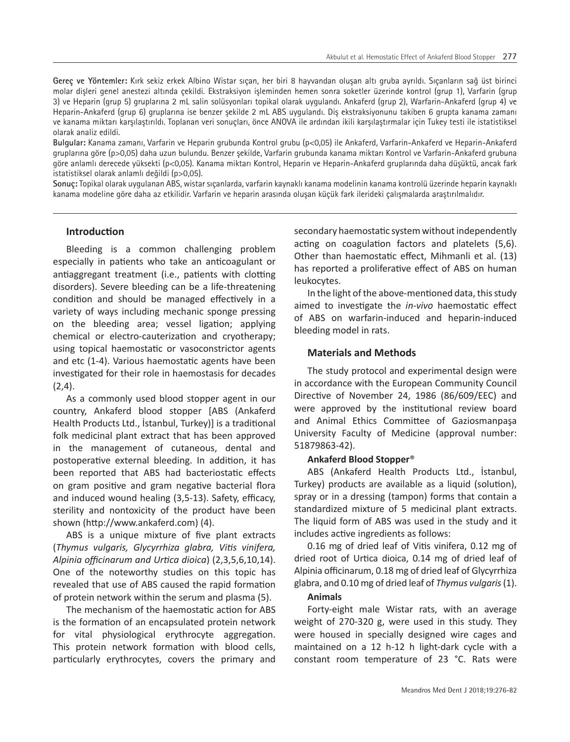**Gereç ve Yöntemler:** Kırk sekiz erkek Albino Wistar sıçan, her biri 8 hayvandan oluşan altı gruba ayrıldı. Sıçanların sağ üst birinci molar dişleri genel anestezi altında çekildi. Ekstraksiyon işleminden hemen sonra soketler üzerinde kontrol (grup 1), Varfarin (grup 3) ve Heparin (grup 5) gruplarına 2 mL salin solüsyonları topikal olarak uygulandı. Ankaferd (grup 2), Warfarin-Ankaferd (grup 4) ve Heparin-Ankaferd (grup 6) gruplarına ise benzer şekilde 2 mL ABS uygulandı. Diş ekstraksiyonunu takiben 6 grupta kanama zamanı ve kanama miktarı karşılaştırıldı. Toplanan veri sonuçları, önce ANOVA ile ardından ikili karşılaştırmalar için Tukey testi ile istatistiksel olarak analiz edildi.

**Bulgular:** Kanama zamanı, Varfarin ve Heparin grubunda Kontrol grubu (p<0,05) ile Ankaferd, Varfarin-Ankaferd ve Heparin-Ankaferd gruplarına göre (p>0,05) daha uzun bulundu. Benzer şekilde, Varfarin grubunda kanama miktarı Kontrol ve Varfarin-Ankaferd grubuna göre anlamlı derecede yüksekti (p<0,05). Kanama miktarı Kontrol, Heparin ve Heparin-Ankaferd gruplarında daha düşüktü, ancak fark istatistiksel olarak anlamlı değildi (p>0,05).

**Sonuç:** Topikal olarak uygulanan ABS, wistar sıçanlarda, varfarin kaynaklı kanama modelinin kanama kontrolü üzerinde heparin kaynaklı kanama modeline göre daha az etkilidir. Varfarin ve heparin arasında oluşan küçük fark ilerideki çalışmalarda araştırılmalıdır.

## **Introduction**

Bleeding is a common challenging problem especially in patients who take an anticoagulant or antiaggregant treatment (i.e., patients with clotting disorders). Severe bleeding can be a life-threatening condition and should be managed effectively in a variety of ways including mechanic sponge pressing on the bleeding area; vessel ligation; applying chemical or electro-cauterization and cryotherapy; using topical haemostatic or vasoconstrictor agents and etc (1-4). Various haemostatic agents have been investigated for their role in haemostasis for decades  $(2.4)$ .

As a commonly used blood stopper agent in our country, Ankaferd blood stopper [ABS (Ankaferd Health Products Ltd., İstanbul, Turkey)] is a traditional folk medicinal plant extract that has been approved in the management of cutaneous, dental and postoperative external bleeding. In addition, it has been reported that ABS had bacteriostatic effects on gram positive and gram negative bacterial flora and induced wound healing (3,5-13). Safety, efficacy, sterility and nontoxicity of the product have been shown (http://www.ankaferd.com) (4).

ABS is a unique mixture of five plant extracts (*Thymus vulgaris, Glycyrrhiza glabra, Vitis vinifera, Alpinia officinarum and Urtica dioica*) (2,3,5,6,10,14). One of the noteworthy studies on this topic has revealed that use of ABS caused the rapid formation of protein network within the serum and plasma (5).

The mechanism of the haemostatic action for ABS is the formation of an encapsulated protein network for vital physiological erythrocyte aggregation. This protein network formation with blood cells, particularly erythrocytes, covers the primary and

secondary haemostatic system without independently acting on coagulation factors and platelets (5,6). Other than haemostatic effect, Mihmanli et al. (13) has reported a proliferative effect of ABS on human leukocytes.

In the light of the above-mentioned data, this study aimed to investigate the *in-vivo* haemostatic effect of ABS on warfarin-induced and heparin-induced bleeding model in rats.

## **Materials and Methods**

The study protocol and experimental design were in accordance with the European Community Council Directive of November 24, 1986 (86/609/EEC) and were approved by the institutional review board and Animal Ethics Committee of Gaziosmanpaşa University Faculty of Medicine (approval number: 51879863-42).

## **Ankaferd Blood Stopper**®

ABS (Ankaferd Health Products Ltd., İstanbul, Turkey) products are available as a liquid (solution), spray or in a dressing (tampon) forms that contain a standardized mixture of 5 medicinal plant extracts. The liquid form of ABS was used in the study and it includes active ingredients as follows:

0.16 mg of dried leaf of Vitis vinifera, 0.12 mg of dried root of Urtica dioica, 0.14 mg of dried leaf of Alpinia officinarum, 0.18 mg of dried leaf of Glycyrrhiza glabra, and 0.10 mg of dried leaf of *Thymus vulgaris* (1).

## **Animals**

Forty-eight male Wistar rats, with an average weight of 270-320 g, were used in this study. They were housed in specially designed wire cages and maintained on a 12 h-12 h light-dark cycle with a constant room temperature of 23 °C. Rats were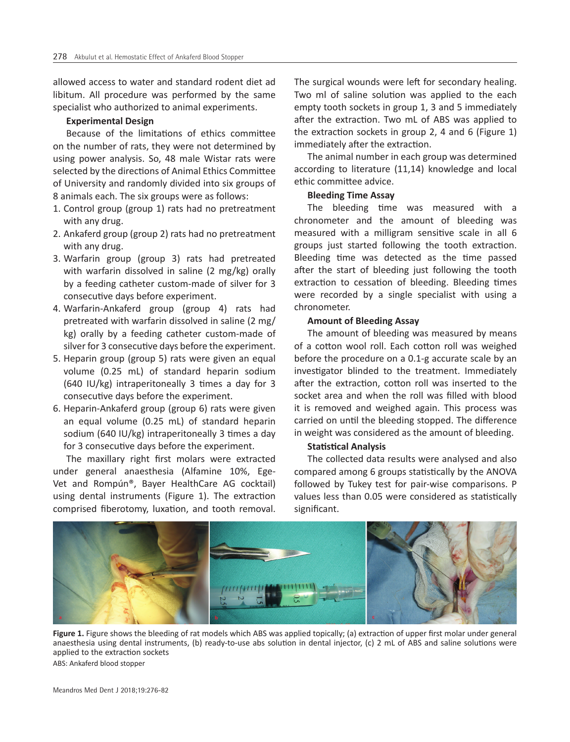allowed access to water and standard rodent diet ad libitum. All procedure was performed by the same specialist who authorized to animal experiments.

### **Experimental Design**

Because of the limitations of ethics committee on the number of rats, they were not determined by using power analysis. So, 48 male Wistar rats were selected by the directions of Animal Ethics Committee of University and randomly divided into six groups of 8 animals each. The six groups were as follows:

- 1. Control group (group 1) rats had no pretreatment with any drug.
- 2. Ankaferd group (group 2) rats had no pretreatment with any drug.
- 3. Warfarin group (group 3) rats had pretreated with warfarin dissolved in saline (2 mg/kg) orally by a feeding catheter custom-made of silver for 3 consecutive days before experiment.
- 4. Warfarin-Ankaferd group (group 4) rats had pretreated with warfarin dissolved in saline (2 mg/ kg) orally by a feeding catheter custom-made of silver for 3 consecutive days before the experiment.
- 5. Heparin group (group 5) rats were given an equal volume (0.25 mL) of standard heparin sodium (640 IU/kg) intraperitoneally 3 times a day for 3 consecutive days before the experiment.
- 6. Heparin-Ankaferd group (group 6) rats were given an equal volume (0.25 mL) of standard heparin sodium (640 IU/kg) intraperitoneally 3 times a day for 3 consecutive days before the experiment.

The maxillary right first molars were extracted under general anaesthesia (Alfamine 10%, Ege-Vet and Rompún®, Bayer HealthCare AG cocktail) using dental instruments (Figure 1). The extraction comprised fiberotomy, luxation, and tooth removal.

The surgical wounds were left for secondary healing. Two ml of saline solution was applied to the each empty tooth sockets in group 1, 3 and 5 immediately after the extraction. Two mL of ABS was applied to the extraction sockets in group 2, 4 and 6 (Figure 1) immediately after the extraction.

The animal number in each group was determined according to literature (11,14) knowledge and local ethic committee advice.

## **Bleeding Time Assay**

The bleeding time was measured with a chronometer and the amount of bleeding was measured with a milligram sensitive scale in all 6 groups just started following the tooth extraction. Bleeding time was detected as the time passed after the start of bleeding just following the tooth extraction to cessation of bleeding. Bleeding times were recorded by a single specialist with using a chronometer.

#### **Amount of Bleeding Assay**

The amount of bleeding was measured by means of a cotton wool roll. Each cotton roll was weighed before the procedure on a 0.1-g accurate scale by an investigator blinded to the treatment. Immediately after the extraction, cotton roll was inserted to the socket area and when the roll was filled with blood it is removed and weighed again. This process was carried on until the bleeding stopped. The difference in weight was considered as the amount of bleeding.

## **Statistical Analysis**

The collected data results were analysed and also compared among 6 groups statistically by the ANOVA followed by Tukey test for pair-wise comparisons. P values less than 0.05 were considered as statistically significant.



**Figure 1.** Figure shows the bleeding of rat models which ABS was applied topically; (a) extraction of upper first molar under general anaesthesia using dental instruments, (b) ready-to-use abs solution in dental injector, (c) 2 mL of ABS and saline solutions were applied to the extraction sockets ABS: Ankaferd blood stopper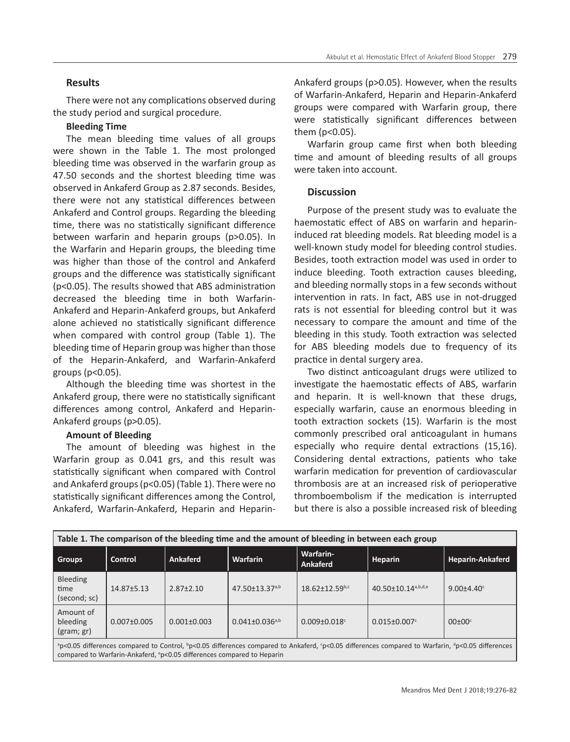## **Results**

There were not any complications observed during the study period and surgical procedure.

## **Bleeding Time**

The mean bleeding time values of all groups were shown in the Table 1. The most prolonged bleeding time was observed in the warfarin group as 47.50 seconds and the shortest bleeding time was observed in Ankaferd Group as 2.87 seconds. Besides, there were not any statistical differences between Ankaferd and Control groups. Regarding the bleeding time, there was no statistically significant difference between warfarin and heparin groups (p>0.05). In the Warfarin and Heparin groups, the bleeding time was higher than those of the control and Ankaferd groups and the difference was statistically significant (p<0.05). The results showed that ABS administration decreased the bleeding time in both Warfarin-Ankaferd and Heparin-Ankaferd groups, but Ankaferd alone achieved no statistically significant difference when compared with control group (Table 1). The bleeding time of Heparin group was higher than those of the Heparin-Ankaferd, and Warfarin-Ankaferd groups (p<0.05).

Although the bleeding time was shortest in the Ankaferd group, there were no statistically significant differences among control, Ankaferd and Heparin-Ankaferd groups (p>0.05).

## **Amount of Bleeding**

The amount of bleeding was highest in the Warfarin group as 0.041 grs, and this result was statistically significant when compared with Control and Ankaferd groups (p<0.05) (Table 1). There were no statistically significant differences among the Control, Ankaferd, Warfarin-Ankaferd, Heparin and HeparinAnkaferd groups (p>0.05). However, when the results of Warfarin-Ankaferd, Heparin and Heparin-Ankaferd groups were compared with Warfarin group, there were statistically significant differences between them (p<0.05).

Warfarin group came first when both bleeding time and amount of bleeding results of all groups were taken into account.

## **Discussion**

Purpose of the present study was to evaluate the haemostatic effect of ABS on warfarin and heparininduced rat bleeding models. Rat bleeding model is a well-known study model for bleeding control studies. Besides, tooth extraction model was used in order to induce bleeding. Tooth extraction causes bleeding, and bleeding normally stops in a few seconds without intervention in rats. In fact, ABS use in not-drugged rats is not essential for bleeding control but it was necessary to compare the amount and time of the bleeding in this study. Tooth extraction was selected for ABS bleeding models due to frequency of its practice in dental surgery area.

Two distinct anticoagulant drugs were utilized to investigate the haemostatic effects of ABS, warfarin and heparin. It is well-known that these drugs, especially warfarin, cause an enormous bleeding in tooth extraction sockets (15). Warfarin is the most commonly prescribed oral anticoagulant in humans especially who require dental extractions (15,16). Considering dental extractions, patients who take warfarin medication for prevention of cardiovascular thrombosis are at an increased risk of perioperative thromboembolism if the medication is interrupted but there is also a possible increased risk of bleeding

| Table 1. The comparison of the bleeding time and the amount of bleeding in between each group                                                                                                                                                                              |                   |                   |                                  |                                |                                |                  |
|----------------------------------------------------------------------------------------------------------------------------------------------------------------------------------------------------------------------------------------------------------------------------|-------------------|-------------------|----------------------------------|--------------------------------|--------------------------------|------------------|
| <b>Groups</b>                                                                                                                                                                                                                                                              | <b>Control</b>    | <b>Ankaferd</b>   | <b>Warfarin</b>                  | Warfarin-<br>Ankaferd          | Heparin                        | Heparin-Ankaferd |
| <b>Bleeding</b><br>time<br>(second; sc)                                                                                                                                                                                                                                    | $14.87 \pm 5.13$  | $2.87 \pm 2.10$   | $47.50 \pm 13.37$ <sup>a,b</sup> | $18.62 \pm 12.59^{b,c}$        | 40.50±10.14 <sup>a,b,d,e</sup> | $9.00 + 4.40$    |
| Amount of<br>bleeding<br>(gram; gr)                                                                                                                                                                                                                                        | $0.007 \pm 0.005$ | $0.001 \pm 0.003$ | $0.041 \pm 0.036$ <sub>a,b</sub> | $0.009 \pm 0.018$ <sup>c</sup> | $0.015 \pm 0.007$ <sup>c</sup> | $00\pm00^\circ$  |
| <sup>a</sup> p<0.05 differences compared to Control, <sup>b</sup> p<0.05 differences compared to Ankaferd, <sup>c</sup> p<0.05 differences compared to Warfarin, <sup>d</sup> p<0.05 differences<br>compared to Warfarin-Ankaferd, °p<0.05 differences compared to Heparin |                   |                   |                                  |                                |                                |                  |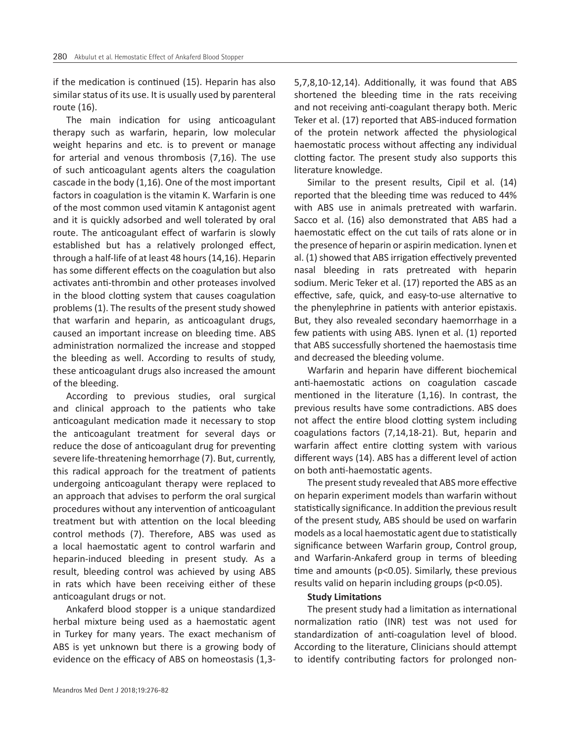if the medication is continued (15). Heparin has also similar status of its use. It is usually used by parenteral route (16).

The main indication for using anticoagulant therapy such as warfarin, heparin, low molecular weight heparins and etc. is to prevent or manage for arterial and venous thrombosis (7,16). The use of such anticoagulant agents alters the coagulation cascade in the body (1,16). One of the most important factors in coagulation is the vitamin K. Warfarin is one of the most common used vitamin K antagonist agent and it is quickly adsorbed and well tolerated by oral route. The anticoagulant effect of warfarin is slowly established but has a relatively prolonged effect, through a half-life of at least 48 hours (14,16). Heparin has some different effects on the coagulation but also activates anti-thrombin and other proteases involved in the blood clotting system that causes coagulation problems (1). The results of the present study showed that warfarin and heparin, as anticoagulant drugs, caused an important increase on bleeding time. ABS administration normalized the increase and stopped the bleeding as well. According to results of study, these anticoagulant drugs also increased the amount of the bleeding.

According to previous studies, oral surgical and clinical approach to the patients who take anticoagulant medication made it necessary to stop the anticoagulant treatment for several days or reduce the dose of anticoagulant drug for preventing severe life-threatening hemorrhage (7). But, currently, this radical approach for the treatment of patients undergoing anticoagulant therapy were replaced to an approach that advises to perform the oral surgical procedures without any intervention of anticoagulant treatment but with attention on the local bleeding control methods (7). Therefore, ABS was used as a local haemostatic agent to control warfarin and heparin-induced bleeding in present study. As a result, bleeding control was achieved by using ABS in rats which have been receiving either of these anticoagulant drugs or not.

Ankaferd blood stopper is a unique standardized herbal mixture being used as a haemostatic agent in Turkey for many years. The exact mechanism of ABS is yet unknown but there is a growing body of evidence on the efficacy of ABS on homeostasis (1,35,7,8,10-12,14). Additionally, it was found that ABS shortened the bleeding time in the rats receiving and not receiving anti-coagulant therapy both. Meric Teker et al. (17) reported that ABS-induced formation of the protein network affected the physiological haemostatic process without affecting any individual clotting factor. The present study also supports this literature knowledge.

Similar to the present results, Cipil et al. (14) reported that the bleeding time was reduced to 44% with ABS use in animals pretreated with warfarin. Sacco et al. (16) also demonstrated that ABS had a haemostatic effect on the cut tails of rats alone or in the presence of heparin or aspirin medication. Iynen et al. (1) showed that ABS irrigation effectively prevented nasal bleeding in rats pretreated with heparin sodium. Meric Teker et al. (17) reported the ABS as an effective, safe, quick, and easy-to-use alternative to the phenylephrine in patients with anterior epistaxis. But, they also revealed secondary haemorrhage in a few patients with using ABS. Iynen et al. (1) reported that ABS successfully shortened the haemostasis time and decreased the bleeding volume.

Warfarin and heparin have different biochemical anti-haemostatic actions on coagulation cascade mentioned in the literature (1,16). In contrast, the previous results have some contradictions. ABS does not affect the entire blood clotting system including coagulations factors (7,14,18-21). But, heparin and warfarin affect entire clotting system with various different ways (14). ABS has a different level of action on both anti-haemostatic agents.

The present study revealed that ABS more effective on heparin experiment models than warfarin without statistically significance. In addition the previous result of the present study, ABS should be used on warfarin models as a local haemostatic agent due to statistically significance between Warfarin group, Control group, and Warfarin-Ankaferd group in terms of bleeding time and amounts (p<0.05). Similarly, these previous results valid on heparin including groups (p<0.05).

#### **Study Limitations**

The present study had a limitation as international normalization ratio (INR) test was not used for standardization of anti-coagulation level of blood. According to the literature, Clinicians should attempt to identify contributing factors for prolonged non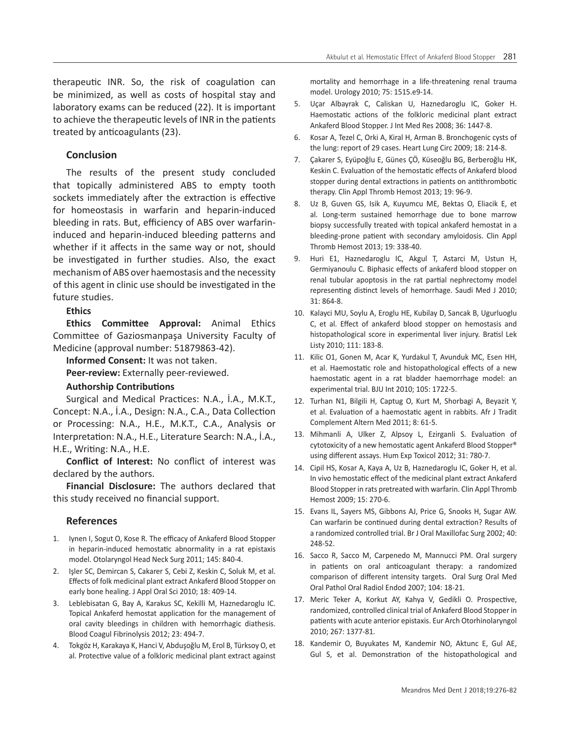therapeutic INR. So, the risk of coagulation can be minimized, as well as costs of hospital stay and laboratory exams can be reduced (22). It is important to achieve the therapeutic levels of INR in the patients treated by anticoagulants (23).

## **Conclusion**

The results of the present study concluded that topically administered ABS to empty tooth sockets immediately after the extraction is effective for homeostasis in warfarin and heparin-induced bleeding in rats. But, efficiency of ABS over warfarininduced and heparin-induced bleeding patterns and whether if it affects in the same way or not, should be investigated in further studies. Also, the exact mechanism of ABS over haemostasis and the necessity of this agent in clinic use should be investigated in the future studies.

## **Ethics**

**Ethics Committee Approval:** Animal Ethics Committee of Gaziosmanpaşa University Faculty of Medicine (approval number: 51879863-42).

**Informed Consent:** It was not taken.

**Peer-review:** Externally peer-reviewed.

## **Authorship Contributions**

Surgical and Medical Practices: N.A., İ.A., M.K.T., Concept: N.A., İ.A., Design: N.A., C.A., Data Collection or Processing: N.A., H.E., M.K.T., C.A., Analysis or Interpretation: N.A., H.E., Literature Search: N.A., İ.A., H.E., Writing: N.A., H.E.

**Conflict of Interest:** No conflict of interest was declared by the authors.

**Financial Disclosure:** The authors declared that this study received no financial support.

## **References**

- 1. Iynen I, Sogut O, Kose R. The efficacy of Ankaferd Blood Stopper in heparin-induced hemostatic abnormality in a rat epistaxis model. Otolaryngol Head Neck Surg 2011; 145: 840-4.
- 2. Işler SC, Demircan S, Cakarer S, Cebi Z, Keskin C, Soluk M, et al. Effects of folk medicinal plant extract Ankaferd Blood Stopper on early bone healing. J Appl Oral Sci 2010; 18: 409-14.
- 3. Leblebisatan G, Bay A, Karakus SC, Kekilli M, Haznedaroglu IC. Topical Ankaferd hemostat application for the management of oral cavity bleedings in children with hemorrhagic diathesis. Blood Coagul Fibrinolysis 2012; 23: 494-7.
- 4. Tokgöz H, Karakaya K, Hanci V, Abduşoğlu M, Erol B, Türksoy O, et al. Protective value of a folkloric medicinal plant extract against

mortality and hemorrhage in a life-threatening renal trauma model. Urology 2010; 75: 1515.e9-14.

- 5. Uçar Albayrak C, Caliskan U, Haznedaroglu IC, Goker H. Haemostatic actions of the folkloric medicinal plant extract Ankaferd Blood Stopper. J Int Med Res 2008; 36: 1447-8.
- 6. Kosar A, Tezel C, Orki A, Kiral H, Arman B. Bronchogenic cysts of the lung: report of 29 cases. Heart Lung Circ 2009; 18: 214-8.
- 7. Çakarer S, Eyüpoğlu E, Günes ÇÖ, Küseoğlu BG, Berberoğlu HK, Keskin C. Evaluation of the hemostatic effects of Ankaferd blood stopper during dental extractions in patients on antithrombotic therapy. Clin Appl Thromb Hemost 2013; 19: 96-9.
- 8. Uz B, Guven GS, Isik A, Kuyumcu ME, Bektas O, Eliacik E, et al. Long-term sustained hemorrhage due to bone marrow biopsy successfully treated with topical ankaferd hemostat in a bleeding-prone patient with secondary amyloidosis. Clin Appl Thromb Hemost 2013; 19: 338-40.
- 9. Huri E1, Haznedaroglu IC, Akgul T, Astarci M, Ustun H, Germiyanoulu C. Biphasic effects of ankaferd blood stopper on renal tubular apoptosis in the rat partial nephrectomy model representing distinct levels of hemorrhage. Saudi Med J 2010; 31: 864-8.
- 10. Kalayci MU, Soylu A, Eroglu HE, Kubilay D, Sancak B, Ugurluoglu C, et al. Effect of ankaferd blood stopper on hemostasis and histopathological score in experimental liver injury. Bratisl Lek Listy 2010; 111: 183-8.
- 11. Kilic O1, Gonen M, Acar K, Yurdakul T, Avunduk MC, Esen HH, et al. Haemostatic role and histopathological effects of a new haemostatic agent in a rat bladder haemorrhage model: an experimental trial. BJU Int 2010; 105: 1722-5.
- 12. Turhan N1, Bilgili H, Captug O, Kurt M, Shorbagi A, Beyazit Y, et al. Evaluation of a haemostatic agent in rabbits. Afr J Tradit Complement Altern Med 2011; 8: 61-5.
- 13. Mihmanli A, Ulker Z, Alpsoy L, Ezirganli S. Evaluation of cytotoxicity of a new hemostatic agent Ankaferd Blood Stopper® using different assays. Hum Exp Toxicol 2012; 31: 780-7.
- 14. Cipil HS, Kosar A, Kaya A, Uz B, Haznedaroglu IC, Goker H, et al. In vivo hemostatic effect of the medicinal plant extract Ankaferd Blood Stopper in rats pretreated with warfarin. Clin Appl Thromb Hemost 2009; 15: 270-6.
- 15. Evans IL, Sayers MS, Gibbons AJ, Price G, Snooks H, Sugar AW. Can warfarin be continued during dental extraction? Results of a randomized controlled trial. Br J Oral Maxillofac Surg 2002; 40: 248-52.
- 16. Sacco R, Sacco M, Carpenedo M, Mannucci PM. Oral surgery in patients on oral anticoagulant therapy: a randomized comparison of different intensity targets. Oral Surg Oral Med Oral Pathol Oral Radiol Endod 2007; 104: 18-21.
- 17. Meric Teker A, Korkut AY, Kahya V, Gedikli O. Prospective, randomized, controlled clinical trial of Ankaferd Blood Stopper in patients with acute anterior epistaxis. Eur Arch Otorhinolaryngol 2010; 267: 1377-81.
- 18. Kandemir O, Buyukates M, Kandemir NO, Aktunc E, Gul AE, Gul S, et al. Demonstration of the histopathological and